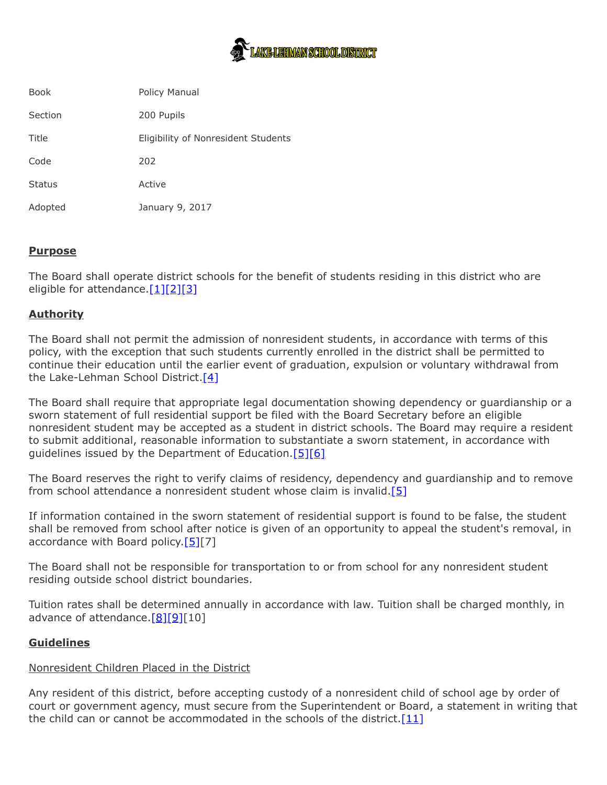

| <b>Book</b>   | <b>Policy Manual</b>                |
|---------------|-------------------------------------|
| Section       | 200 Pupils                          |
| Title         | Eligibility of Nonresident Students |
| Code          | 202                                 |
| <b>Status</b> | Active                              |
| Adopted       | January 9, 2017                     |

# **Purpose**

The Board shall operate district schools for the benefit of students residing in this district who are eligible for attendance. $[1][2][3]$  $[1][2][3]$  $[1][2][3]$ 

## **Authority**

The Board shall not permit the admission of nonresident students, in accordance with terms of this policy, with the exception that such students currently enrolled in the district shall be permitted to continue their education until the earlier event of graduation, expulsion or voluntary withdrawal from the Lake-Lehman School District. $[4]$ 

The Board shall require that appropriate legal documentation showing dependency or guardianship or a sworn statement of full residential support be filed with the Board Secretary before an eligible nonresident student may be accepted as a student in district schools. The Board may require a resident to submit additional, reasonable information to substantiate a sworn statement, in accordance with guidelines issued by the Department of Education.  $[5][6]$  $[5][6]$ 

The Board reserves the right to verify claims of residency, dependency and guardianship and to remove from school attendance a nonresident student whose claim is invalid. $[5]$ 

If information contained in the sworn statement of residential support is found to be false, the student shall be removed from school after notice is given of an opportunity to appeal the student's removal, in accordance with Board policy.  $[5][7]$  $[5][7]$ 

The Board shall not be responsible for transportation to or from school for any nonresident student residing outside school district boundaries.

Tuition rates shall be determined annually in accordance with law. Tuition shall be charged monthly, in advance of attendance. $[8][9][10]$  $[8][9][10]$  $[8][9][10]$ 

### **Guidelines**

### Nonresident Children Placed in the District

Any resident of this district, before accepting custody of a nonresident child of school age by order of court or government agency, must secure from the Superintendent or Board, a statement in writing that the child can or cannot be accommodated in the schools of the district.  $[11]$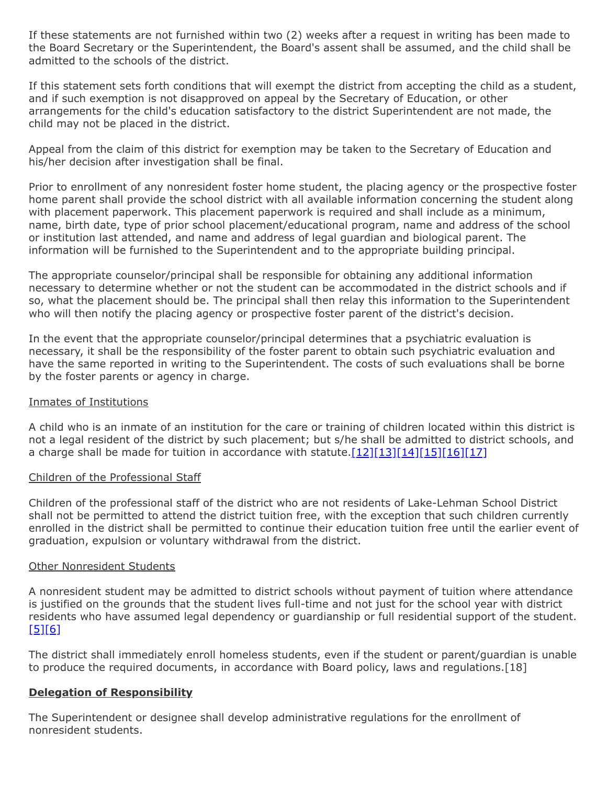If these statements are not furnished within two (2) weeks after a request in writing has been made to the Board Secretary or the Superintendent, the Board's assent shall be assumed, and the child shall be admitted to the schools of the district.

If this statement sets forth conditions that will exempt the district from accepting the child as a student, and if such exemption is not disapproved on appeal by the Secretary of Education, or other arrangements for the child's education satisfactory to the district Superintendent are not made, the child may not be placed in the district.

Appeal from the claim of this district for exemption may be taken to the Secretary of Education and his/her decision after investigation shall be final.

Prior to enrollment of any nonresident foster home student, the placing agency or the prospective foster home parent shall provide the school district with all available information concerning the student along with placement paperwork. This placement paperwork is required and shall include as a minimum, name, birth date, type of prior school placement/educational program, name and address of the school or institution last attended, and name and address of legal guardian and biological parent. The information will be furnished to the Superintendent and to the appropriate building principal.

The appropriate counselor/principal shall be responsible for obtaining any additional information necessary to determine whether or not the student can be accommodated in the district schools and if so, what the placement should be. The principal shall then relay this information to the Superintendent who will then notify the placing agency or prospective foster parent of the district's decision.

In the event that the appropriate counselor/principal determines that a psychiatric evaluation is necessary, it shall be the responsibility of the foster parent to obtain such psychiatric evaluation and have the same reported in writing to the Superintendent. The costs of such evaluations shall be borne by the foster parents or agency in charge.

### Inmates of Institutions

A child who is an inmate of an institution for the care or training of children located within this district is not a legal resident of the district by such placement; but s/he shall be admitted to district schools, and a charge shall be made for tuition in accordance with statute. $[12][13][14][15][16][17]$  $[12][13][14][15][16][17]$  $[12][13][14][15][16][17]$  $[12][13][14][15][16][17]$  $[12][13][14][15][16][17]$  $[12][13][14][15][16][17]$ 

### Children of the Professional Staff

Children of the professional staff of the district who are not residents of Lake-Lehman School District shall not be permitted to attend the district tuition free, with the exception that such children currently enrolled in the district shall be permitted to continue their education tuition free until the earlier event of graduation, expulsion or voluntary withdrawal from the district.

### Other Nonresident Students

A nonresident student may be admitted to district schools without payment of tuition where attendance is justified on the grounds that the student lives full-time and not just for the school year with district residents who have assumed legal dependency or guardianship or full residential support of the student. [\[5\]](http://www.legis.state.pa.us/cfdocs/legis/LI/uconsCheck.cfm?txtType=HTM&yr=1949&sessInd=0&smthLwInd=0&act=14&chpt=13&sctn=2&subsctn=0)[\[6\]](http://pacodeandbulletin.gov/Display/pacode?file=/secure/pacode/data/022/chapter11/s11.19.html&d=reduce)

The district shall immediately enroll homeless students, even if the student or parent/guardian is unable to produce the required documents, in accordance with Board policy, laws and regulations.[18]

### **Delegation of Responsibility**

The Superintendent or designee shall develop administrative regulations for the enrollment of nonresident students.